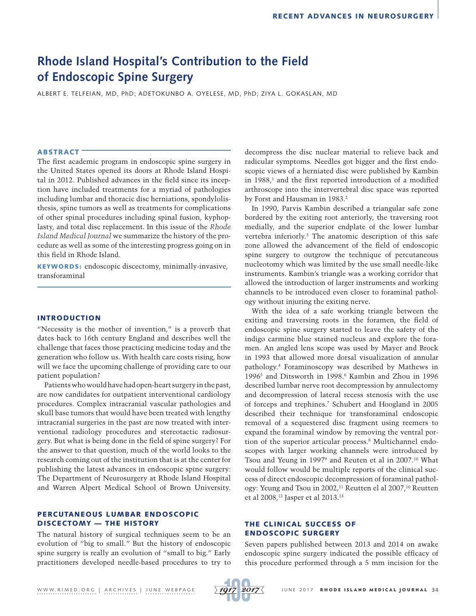# **Rhode Island Hospital's Contribution to the Field of Endoscopic Spine Surgery**

ALBERT E. TELFEIAN, MD, PhD; ADETOKUNBO A. OYELESE, MD, PhD; ZIYA L. GOKASLAN, MD

#### ABSTRACT

The first academic program in endoscopic spine surgery in the United States opened its doors at Rhode Island Hospital in 2012. Published advances in the field since its inception have included treatments for a myriad of pathologies including lumbar and thoracic disc herniations, spondylolisthesis, spine tumors as well as treatments for complications of other spinal procedures including spinal fusion, kyphoplasty, and total disc replacement. In this issue of the *Rhode Island Medical Journal* we summarize the history of the procedure as well as some of the interesting progress going on in this field in Rhode Island.

KEYWORDS: endoscopic discectomy, minimally-invasive, transforaminal

#### INTRODUCTION

"Necessity is the mother of invention," is a proverb that dates back to 16th century England and describes well the challenge that faces those practicing medicine today and the generation who follow us. With health care costs rising, how will we face the upcoming challenge of providing care to our patient population?

Patients who would have had open-heart surgery in the past, are now candidates for outpatient interventional cardiology procedures. Complex intracranial vascular pathologies and skull base tumors that would have been treated with lengthy intracranial surgeries in the past are now treated with interventional radiology procedures and stereotactic radiosurgery. But what is being done in the field of spine surgery? For the answer to that question, much of the world looks to the research coming out of the institution that is at the center for publishing the latest advances in endoscopic spine surgery: The Department of Neurosurgery at Rhode Island Hospital and Warren Alpert Medical School of Brown University.

# PERCUTANEOUS LUMBAR ENDOSCOPIC DISCECTOMY — THE HISTORY

The natural history of surgical techniques seem to be an evolution of "big to small." But the history of endoscopic spine surgery is really an evolution of "small to big." Early practitioners developed needle-based procedures to try to decompress the disc nuclear material to relieve back and radicular symptoms. Needles got bigger and the first endoscopic views of a herniated disc were published by Kambin in  $1988<sub>i</sub>$  and the first reported introduction of a modified arthroscope into the intervertebral disc space was reported by Forst and Hausman in 1983.<sup>2</sup>

In 1990, Parvis Kambin described a triangular safe zone bordered by the exiting root anteriorly, the traversing root medially, and the superior endplate of the lower lumbar vertebra inferiorly.3 The anatomic description of this safe zone allowed the advancement of the field of endoscopic spine surgery to outgrow the technique of percutaneous nucleotomy which was limited by the use small needle-like instruments. Kambin's triangle was a working corridor that allowed the introduction of larger instruments and working channels to be introduced even closer to foraminal pathology without injuring the exiting nerve.

With the idea of a safe working triangle between the exiting and traversing roots in the foramen, the field of endoscopic spine surgery started to leave the safety of the indigo carmine blue stained nucleus and explore the foramen. An angled lens scope was used by Mayer and Brock in 1993 that allowed more dorsal visualization of annular pathology.4 Foraminoscopy was described by Mathews in 1996<sup>5</sup> and Ditsworth in 1998.<sup>6</sup> Kambin and Zhou in 1996 described lumbar nerve root decompression by annulectomy and decompression of lateral recess stenosis with the use of forceps and trephines.7 Schubert and Hoogland in 2005 described their technique for transforaminal endoscopic removal of a sequestered disc fragment using reemers to expand the foraminal window by removing the ventral portion of the superior articular process.8 Multichannel endoscopes with larger working channels were introduced by Tsou and Yeung in 19979 and Reuten et al in 2007.10 What would follow would be multiple reports of the clinical success of direct endoscopic decompression of foraminal pathology: Yeung and Tsou in 2002,<sup>11</sup> Reutten el al 2007,<sup>10</sup> Reutten et al 2008,12 Jasper et al 2013.13

## THE CLINICAL SUCCESS OF ENDOSCOPIC SURGERY

Seven papers published between 2013 and 2014 on awake endoscopic spine surgery indicated the possible efficacy of this procedure performed through a 5 mm incision for the

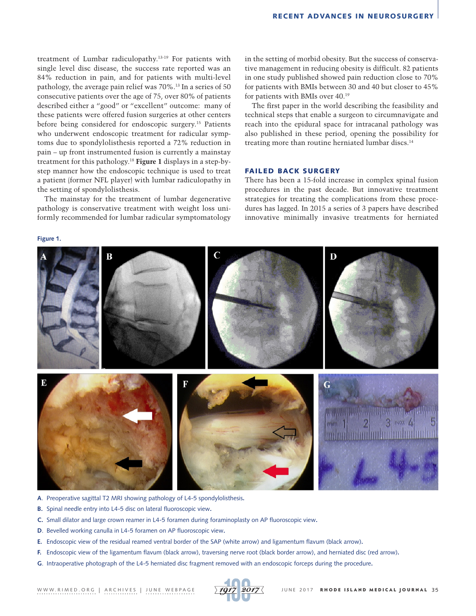treatment of Lumbar radiculopathy.13-19 For patients with single level disc disease, the success rate reported was an 84% reduction in pain, and for patients with multi-level pathology, the average pain relief was 70%.13 In a series of 50 consecutive patients over the age of 75, over 80% of patients described either a "good" or "excellent" outcome: many of these patients were offered fusion surgeries at other centers before being considered for endoscopic surgery.15 Patients who underwent endoscopic treatment for radicular symptoms due to spondylolisthesis reported a 72% reduction in pain – up front instrumented fusion is currently a mainstay treatment for this pathology.18 **Figure 1** displays in a step-bystep manner how the endoscopic technique is used to treat a patient (former NFL player) with lumbar radiculopathy in the setting of spondylolisthesis.

The mainstay for the treatment of lumbar degenerative pathology is conservative treatment with weight loss uniformly recommended for lumbar radicular symptomatology

**Figure 1.**

in the setting of morbid obesity. But the success of conservative management in reducing obesity is difficult. 82 patients in one study published showed pain reduction close to 70% for patients with BMIs between 30 and 40 but closer to 45% for patients with BMIs over 40.19

The first paper in the world describing the feasibility and technical steps that enable a surgeon to circumnavigate and reach into the epidural space for intracanal pathology was also published in these period, opening the possibility for treating more than routine herniated lumbar discs.<sup>14</sup>

## FAILED BACK SURGERY

There has been a 15-fold increase in complex spinal fusion procedures in the past decade. But innovative treatment strategies for treating the complications from these procedures has lagged. In 2015 a series of 3 papers have described innovative minimally invasive treatments for herniated



- **A**. Preoperative sagittal T2 MRI showing pathology of L4-5 spondylolisthesis**.**
- **B.** Spinal needle entry into L4-5 disc on lateral fluoroscopic view**.**
- **C.** Small dilator and large crown reamer in L4-5 foramen during foraminoplasty on AP fluoroscopic view**.**
- **D**. Bevelled working canulla in L4-5 foramen on AP fluoroscopic view**.**
- **E.** Endoscopic view of the residual reamed ventral border of the SAP (white arrow) and ligamentum flavum (black arrow)**.**
- **F.** Endoscopic view of the ligamentum flavum (black arrow), traversing nerve root (black border arrow), and herniated disc (red arrow)**.**
- **G**. Intraoperative photograph of the L4-5 herniated disc fragment removed with an endoscopic forceps during the procedure**.**

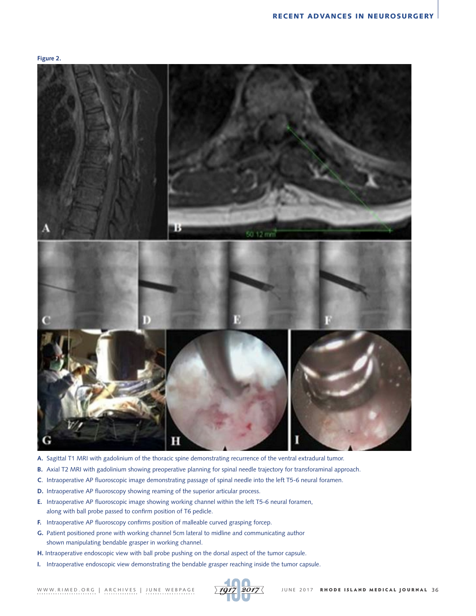



- **A.** Sagittal T1 MRI with gadolinium of the thoracic spine demonstrating recurrence of the ventral extradural tumor.
- **B.** Axial T2 MRI with gadolinium showing preoperative planning for spinal needle trajectory for transforaminal approach.
- **C**. Intraoperative AP fluoroscopic image demonstrating passage of spinal needle into the left T5-6 neural foramen.
- **D.** Intraoperative AP fluoroscopy showing reaming of the superior articular process.
- **E.** Intraoperative AP fluoroscopic image showing working channel within the left T5-6 neural foramen, along with ball probe passed to confirm position of T6 pedicle.
- **F.** Intraoperative AP fluoroscopy confirms position of malleable curved grasping forcep.
- **G.** Patient positioned prone with working channel 5cm lateral to midline and communicating author shown manipulating bendable grasper in working channel.
- **H.** Intraoperative endoscopic view with ball probe pushing on the dorsal aspect of the tumor capsule.
- **I.** Intraoperative endoscopic view demonstrating the bendable grasper reaching inside the tumor capsule.

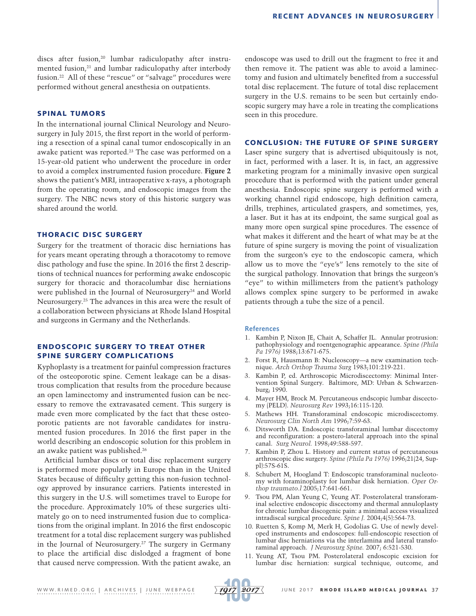discs after fusion,<sup>20</sup> lumbar radiculopathy after instrumented fusion,<sup>21</sup> and lumbar radiculopathy after interbody fusion.22 All of these "rescue" or "salvage" procedures were performed without general anesthesia on outpatients.

#### SPINAL TUMORS

In the international journal Clinical Neurology and Neurosurgery in July 2015, the first report in the world of performing a resection of a spinal canal tumor endoscopically in an awake patient was reported.<sup>23</sup> The case was performed on a 15-year-old patient who underwent the procedure in order to avoid a complex instrumented fusion procedure. **Figure 2** shows the patient's MRI, intraoperative x-rays, a photograph from the operating room, and endoscopic images from the surgery. The NBC news story of this historic surgery was shared around the world.

#### THORACIC DISC SURGERY

Surgery for the treatment of thoracic disc herniations has for years meant operating through a thoracotomy to remove disc pathology and fuse the spine. In 2016 the first 2 descriptions of technical nuances for performing awake endoscopic surgery for thoracic and thoracolumbar disc herniations were published in the Journal of Neurosurgery<sup>24</sup> and World Neurosurgery.25 The advances in this area were the result of a collaboration between physicians at Rhode Island Hospital and surgeons in Germany and the Netherlands.

## ENDOSCOPIC SURGERY TO TREAT OTHER SPINE SURGERY COMPLICATIONS

Kyphoplasty is a treatment for painful compression fractures of the osteoporotic spine. Cement leakage can be a disastrous complication that results from the procedure because an open laminectomy and instrumented fusion can be necessary to remove the extravasated cement. This surgery is made even more complicated by the fact that these osteoporotic patients are not favorable candidates for instrumented fusion procedures. In 2016 the first paper in the world describing an endoscopic solution for this problem in an awake patient was published.26

Artificial lumbar discs or total disc replacement surgery is performed more popularly in Europe than in the United States because of difficulty getting this non-fusion technology approved by insurance carriers. Patients interested in this surgery in the U.S. will sometimes travel to Europe for the procedure. Approximately 10% of these surgeries ultimately go on to need instrumented fusion due to complications from the original implant. In 2016 the first endoscopic treatment for a total disc replacement surgery was published in the Journal of Neurosurgery.27 The surgery in Germany to place the artificial disc dislodged a fragment of bone that caused nerve compression. With the patient awake, an

endoscope was used to drill out the fragment to free it and then remove it. The patient was able to avoid a laminectomy and fusion and ultimately benefited from a successful total disc replacement. The future of total disc replacement surgery in the U.S. remains to be seen but certainly endoscopic surgery may have a role in treating the complications seen in this procedure.

# CONCLUSION: THE FUTURE OF SPINE SURGERY

Laser spine surgery that is advertised ubiquitously is not, in fact, performed with a laser. It is, in fact, an aggressive marketing program for a minimally invasive open surgical procedure that is performed with the patient under general anesthesia. Endoscopic spine surgery is performed with a working channel rigid endoscope, high definition camera, drills, trephines, articulated graspers, and sometimes, yes, a laser. But it has at its endpoint, the same surgical goal as many more open surgical spine procedures. The essence of what makes it different and the heart of what may be at the future of spine surgery is moving the point of visualization from the surgeon's eye to the endoscopic camera, which allow us to move the "eye's" lens remotely to the site of the surgical pathology. Innovation that brings the surgeon's "eye" to within millimeters from the patient's pathology allows complex spine surgery to be performed in awake patients through a tube the size of a pencil.

#### **References**

- 1. Kambin P, Nixon JE, Chait A, Schaffer JL. Annular protrusion: pathophysiology and roentgenographic appearance. *Spine (Phila Pa 1976)* 1988;13:671-675.
- 2. Forst R, Hausmann B: Nucleoscopy—a new examination technique. *Arch Orthop Trauma Surg* 1983;101:219-221.
- 3. Kambin P, ed. Arthroscopic Microdiscectomy: Minimal Intervention Spinal Surgery. Baltimore, MD: Urban & Schwarzenburg; 1990.
- 4. Mayer HM, Brock M. Percutaneous endscopic lumbar discectomy (PELD). *Neurosurg Rev* 1993;16:115-120.
- 5. Mathews HH. Transforaminal endoscopic microdiscectomy. *Neurosurg Clin North Am* 1996;7:59-63.
- 6. Ditsworth DA. Endoscopic transforaminal lumbar discectomy and reconfiguration: a postero-lateral approach into the spinal canal. *Surg Neurol.* 1998;49:588-597.
- 7. Kambin P, Zhou L. History and current status of percutaneous arthroscopic disc surgery. *Spine (Phila Pa 1976)* 1996;21(24, Suppl):57S-61S.
- 8. Schubert M, Hoogland T: Endoscopic transforaminal nucleotomy with foraminoplasty for lumbar disk herniation. *Oper Orthop traumato.l* 2005;17:641-661.
- 9. Tsou PM, Alan Yeung C, Yeung AT. Posterolateral transforaminal selective endoscopic discectomy and thermal annuloplasty for chronic lumbar discogenic pain: a minimal access visualized intradiscal surgical procedure. *Spine J.* 2004;4(5):564-73.
- 10. Ruetten S, Komp M, Merk H, Godolias G. Use of newly developed instruments and endoscopes: full-endoscopic resection of lumbar disc herniations via the interlamina and lateral transforaminal approach. *J Neurosurg Spine.* 2007; 6:521-530.
- 11. Yeung AT, Tsou PM. Posterolateral endoscopic excision for lumbar disc herniation: surgical technique, outcome, and